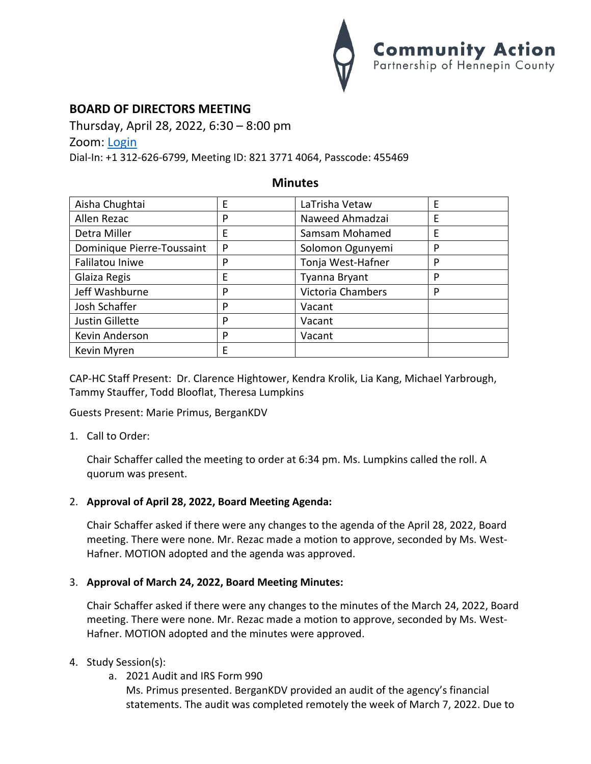

# **BOARD OF DIRECTORS MEETING**

Thursday, April 28, 2022, 6:30 – 8:00 pm

Zoom: [Login](https://us02web.zoom.us/j/82137714064?pwd=N1dZY3NqWXFUbGR2UGZGdWdTNkNDdz09)

Dial-In: +1 312-626-6799, Meeting ID: 821 3771 4064, Passcode: 455469

## **Minutes**

| Aisha Chughtai             | E | LaTrisha Vetaw    | E |
|----------------------------|---|-------------------|---|
| Allen Rezac                | P | Naweed Ahmadzai   | E |
| Detra Miller               | E | Samsam Mohamed    | E |
| Dominique Pierre-Toussaint | P | Solomon Ogunyemi  | P |
| Falilatou Iniwe            | P | Tonja West-Hafner | P |
| Glaiza Regis               | E | Tyanna Bryant     | P |
| Jeff Washburne             | P | Victoria Chambers | P |
| Josh Schaffer              | P | Vacant            |   |
| Justin Gillette            | P | Vacant            |   |
| Kevin Anderson             | P | Vacant            |   |
| Kevin Myren                | E |                   |   |

CAP-HC Staff Present: Dr. Clarence Hightower, Kendra Krolik, Lia Kang, Michael Yarbrough, Tammy Stauffer, Todd Blooflat, Theresa Lumpkins

Guests Present: Marie Primus, BerganKDV

1. Call to Order:

Chair Schaffer called the meeting to order at 6:34 pm. Ms. Lumpkins called the roll. A quorum was present.

## 2. **Approval of April 28, 2022, Board Meeting Agenda:**

Chair Schaffer asked if there were any changes to the agenda of the April 28, 2022, Board meeting. There were none. Mr. Rezac made a motion to approve, seconded by Ms. West-Hafner. MOTION adopted and the agenda was approved.

### 3. **Approval of March 24, 2022, Board Meeting Minutes:**

Chair Schaffer asked if there were any changes to the minutes of the March 24, 2022, Board meeting. There were none. Mr. Rezac made a motion to approve, seconded by Ms. West-Hafner. MOTION adopted and the minutes were approved.

### 4. Study Session(s):

a. 2021 Audit and IRS Form 990

Ms. Primus presented. BerganKDV provided an audit of the agency's financial statements. The audit was completed remotely the week of March 7, 2022. Due to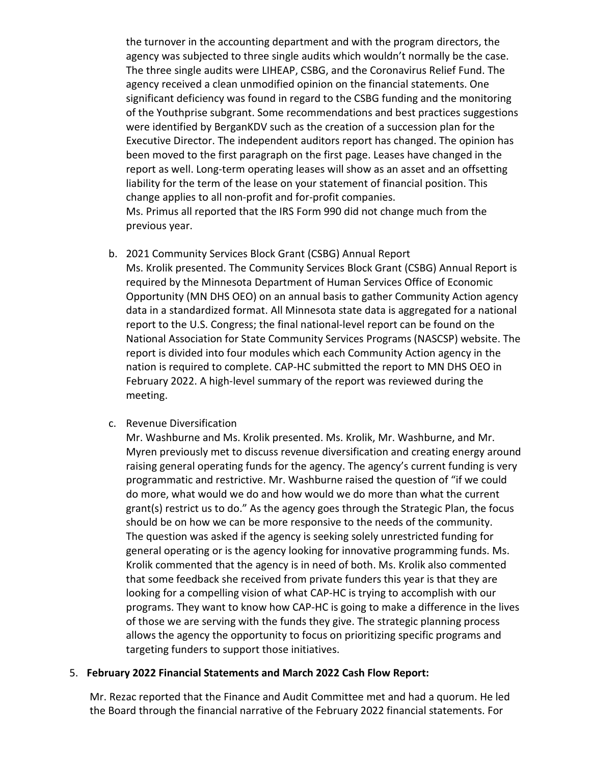the turnover in the accounting department and with the program directors, the agency was subjected to three single audits which wouldn't normally be the case. The three single audits were LIHEAP, CSBG, and the Coronavirus Relief Fund. The agency received a clean unmodified opinion on the financial statements. One significant deficiency was found in regard to the CSBG funding and the monitoring of the Youthprise subgrant. Some recommendations and best practices suggestions were identified by BerganKDV such as the creation of a succession plan for the Executive Director. The independent auditors report has changed. The opinion has been moved to the first paragraph on the first page. Leases have changed in the report as well. Long-term operating leases will show as an asset and an offsetting liability for the term of the lease on your statement of financial position. This change applies to all non-profit and for-profit companies. Ms. Primus all reported that the IRS Form 990 did not change much from the previous year.

- b. 2021 Community Services Block Grant (CSBG) Annual Report Ms. Krolik presented. The Community Services Block Grant (CSBG) Annual Report is required by the Minnesota Department of Human Services Office of Economic Opportunity (MN DHS OEO) on an annual basis to gather Community Action agency data in a standardized format. All Minnesota state data is aggregated for a national report to the U.S. Congress; the final national-level report can be found on the National Association for State Community Services Programs (NASCSP) website. The report is divided into four modules which each Community Action agency in the nation is required to complete. CAP-HC submitted the report to MN DHS OEO in February 2022. A high-level summary of the report was reviewed during the meeting.
- c. Revenue Diversification

Mr. Washburne and Ms. Krolik presented. Ms. Krolik, Mr. Washburne, and Mr. Myren previously met to discuss revenue diversification and creating energy around raising general operating funds for the agency. The agency's current funding is very programmatic and restrictive. Mr. Washburne raised the question of "if we could do more, what would we do and how would we do more than what the current grant(s) restrict us to do." As the agency goes through the Strategic Plan, the focus should be on how we can be more responsive to the needs of the community. The question was asked if the agency is seeking solely unrestricted funding for general operating or is the agency looking for innovative programming funds. Ms. Krolik commented that the agency is in need of both. Ms. Krolik also commented that some feedback she received from private funders this year is that they are looking for a compelling vision of what CAP-HC is trying to accomplish with our programs. They want to know how CAP-HC is going to make a difference in the lives of those we are serving with the funds they give. The strategic planning process allows the agency the opportunity to focus on prioritizing specific programs and targeting funders to support those initiatives.

#### 5. **February 2022 Financial Statements and March 2022 Cash Flow Report:**

Mr. Rezac reported that the Finance and Audit Committee met and had a quorum. He led the Board through the financial narrative of the February 2022 financial statements. For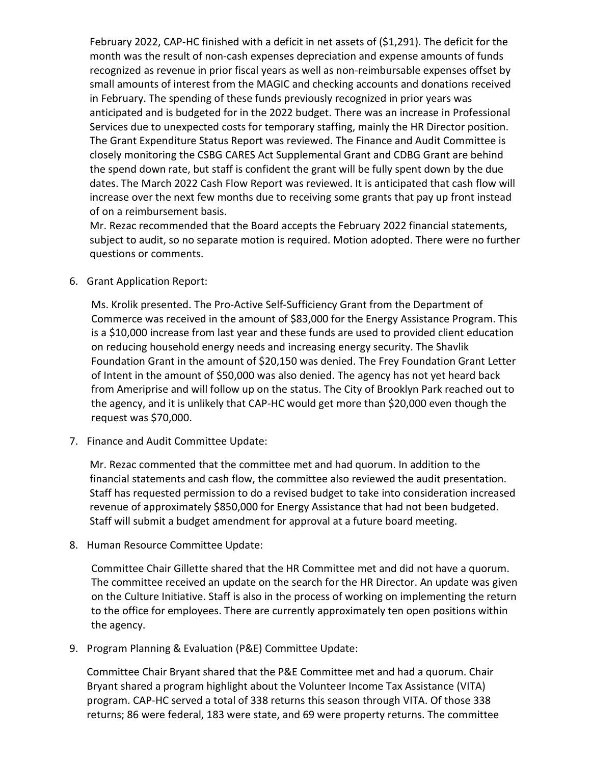February 2022, CAP-HC finished with a deficit in net assets of (\$1,291). The deficit for the month was the result of non-cash expenses depreciation and expense amounts of funds recognized as revenue in prior fiscal years as well as non-reimbursable expenses offset by small amounts of interest from the MAGIC and checking accounts and donations received in February. The spending of these funds previously recognized in prior years was anticipated and is budgeted for in the 2022 budget. There was an increase in Professional Services due to unexpected costs for temporary staffing, mainly the HR Director position. The Grant Expenditure Status Report was reviewed. The Finance and Audit Committee is closely monitoring the CSBG CARES Act Supplemental Grant and CDBG Grant are behind the spend down rate, but staff is confident the grant will be fully spent down by the due dates. The March 2022 Cash Flow Report was reviewed. It is anticipated that cash flow will increase over the next few months due to receiving some grants that pay up front instead of on a reimbursement basis.

Mr. Rezac recommended that the Board accepts the February 2022 financial statements, subject to audit, so no separate motion is required. Motion adopted. There were no further questions or comments.

6. Grant Application Report:

Ms. Krolik presented. The Pro-Active Self-Sufficiency Grant from the Department of Commerce was received in the amount of \$83,000 for the Energy Assistance Program. This is a \$10,000 increase from last year and these funds are used to provided client education on reducing household energy needs and increasing energy security. The Shavlik Foundation Grant in the amount of \$20,150 was denied. The Frey Foundation Grant Letter of Intent in the amount of \$50,000 was also denied. The agency has not yet heard back from Ameriprise and will follow up on the status. The City of Brooklyn Park reached out to the agency, and it is unlikely that CAP-HC would get more than \$20,000 even though the request was \$70,000.

7. Finance and Audit Committee Update:

Mr. Rezac commented that the committee met and had quorum. In addition to the financial statements and cash flow, the committee also reviewed the audit presentation. Staff has requested permission to do a revised budget to take into consideration increased revenue of approximately \$850,000 for Energy Assistance that had not been budgeted. Staff will submit a budget amendment for approval at a future board meeting.

8. Human Resource Committee Update:

Committee Chair Gillette shared that the HR Committee met and did not have a quorum. The committee received an update on the search for the HR Director. An update was given on the Culture Initiative. Staff is also in the process of working on implementing the return to the office for employees. There are currently approximately ten open positions within the agency.

9. Program Planning & Evaluation (P&E) Committee Update:

Committee Chair Bryant shared that the P&E Committee met and had a quorum. Chair Bryant shared a program highlight about the Volunteer Income Tax Assistance (VITA) program. CAP-HC served a total of 338 returns this season through VITA. Of those 338 returns; 86 were federal, 183 were state, and 69 were property returns. The committee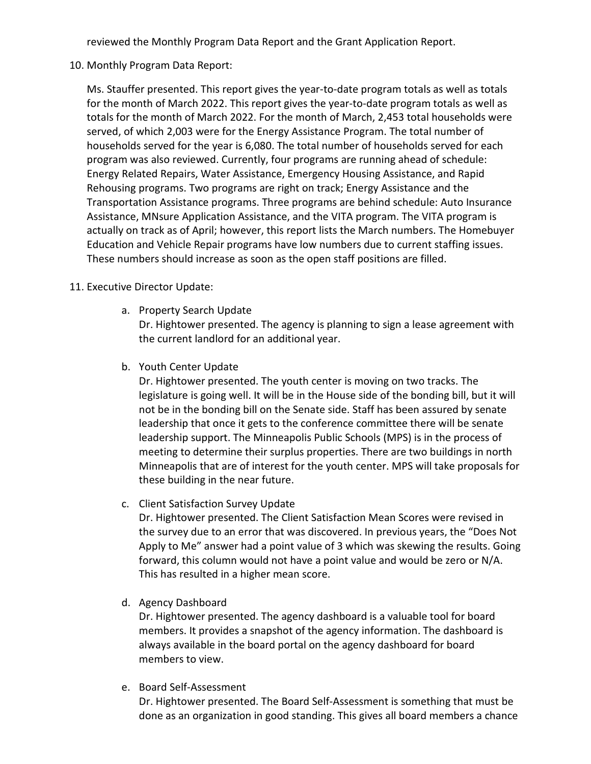reviewed the Monthly Program Data Report and the Grant Application Report.

10. Monthly Program Data Report:

Ms. Stauffer presented. This report gives the year-to-date program totals as well as totals for the month of March 2022. This report gives the year-to-date program totals as well as totals for the month of March 2022. For the month of March, 2,453 total households were served, of which 2,003 were for the Energy Assistance Program. The total number of households served for the year is 6,080. The total number of households served for each program was also reviewed. Currently, four programs are running ahead of schedule: Energy Related Repairs, Water Assistance, Emergency Housing Assistance, and Rapid Rehousing programs. Two programs are right on track; Energy Assistance and the Transportation Assistance programs. Three programs are behind schedule: Auto Insurance Assistance, MNsure Application Assistance, and the VITA program. The VITA program is actually on track as of April; however, this report lists the March numbers. The Homebuyer Education and Vehicle Repair programs have low numbers due to current staffing issues. These numbers should increase as soon as the open staff positions are filled.

## 11. Executive Director Update:

a. Property Search Update

Dr. Hightower presented. The agency is planning to sign a lease agreement with the current landlord for an additional year.

b. Youth Center Update

Dr. Hightower presented. The youth center is moving on two tracks. The legislature is going well. It will be in the House side of the bonding bill, but it will not be in the bonding bill on the Senate side. Staff has been assured by senate leadership that once it gets to the conference committee there will be senate leadership support. The Minneapolis Public Schools (MPS) is in the process of meeting to determine their surplus properties. There are two buildings in north Minneapolis that are of interest for the youth center. MPS will take proposals for these building in the near future.

c. Client Satisfaction Survey Update

Dr. Hightower presented. The Client Satisfaction Mean Scores were revised in the survey due to an error that was discovered. In previous years, the "Does Not Apply to Me" answer had a point value of 3 which was skewing the results. Going forward, this column would not have a point value and would be zero or N/A. This has resulted in a higher mean score.

d. Agency Dashboard

Dr. Hightower presented. The agency dashboard is a valuable tool for board members. It provides a snapshot of the agency information. The dashboard is always available in the board portal on the agency dashboard for board members to view.

e. Board Self-Assessment

Dr. Hightower presented. The Board Self-Assessment is something that must be done as an organization in good standing. This gives all board members a chance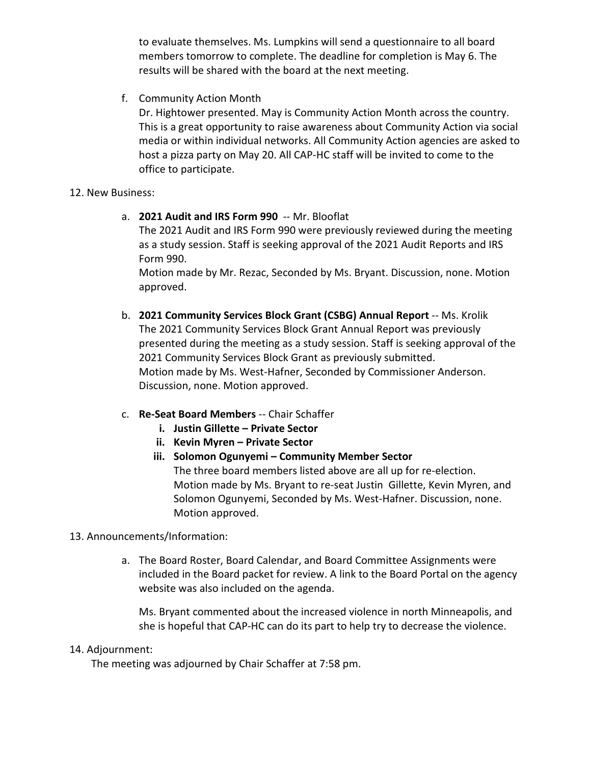to evaluate themselves. Ms. Lumpkins will send a questionnaire to all board members tomorrow to complete. The deadline for completion is May 6. The results will be shared with the board at the next meeting.

f. Community Action Month

Dr. Hightower presented. May is Community Action Month across the country. This is a great opportunity to raise awareness about Community Action via social media or within individual networks. All Community Action agencies are asked to host a pizza party on May 20. All CAP-HC staff will be invited to come to the office to participate.

### 12. New Business:

a. **2021 Audit and IRS Form 990** -- Mr. Blooflat

The 2021 Audit and IRS Form 990 were previously reviewed during the meeting as a study session. Staff is seeking approval of the 2021 Audit Reports and IRS Form 990.

Motion made by Mr. Rezac, Seconded by Ms. Bryant. Discussion, none. Motion approved.

- b. **2021 Community Services Block Grant (CSBG) Annual Report** -- Ms. Krolik The 2021 Community Services Block Grant Annual Report was previously presented during the meeting as a study session. Staff is seeking approval of the 2021 Community Services Block Grant as previously submitted. Motion made by Ms. West-Hafner, Seconded by Commissioner Anderson. Discussion, none. Motion approved.
- c. **Re-Seat Board Members** -- Chair Schaffer
	- **i. Justin Gillette – Private Sector**
	- **ii. Kevin Myren – Private Sector**
	- **iii. Solomon Ogunyemi – Community Member Sector** The three board members listed above are all up for re-election. Motion made by Ms. Bryant to re-seat Justin Gillette, Kevin Myren, and Solomon Ogunyemi, Seconded by Ms. West-Hafner. Discussion, none. Motion approved.

## 13. Announcements/Information:

a. The Board Roster, Board Calendar, and Board Committee Assignments were included in the Board packet for review. A link to the Board Portal on the agency website was also included on the agenda.

Ms. Bryant commented about the increased violence in north Minneapolis, and she is hopeful that CAP-HC can do its part to help try to decrease the violence.

### 14. Adjournment:

The meeting was adjourned by Chair Schaffer at 7:58 pm.